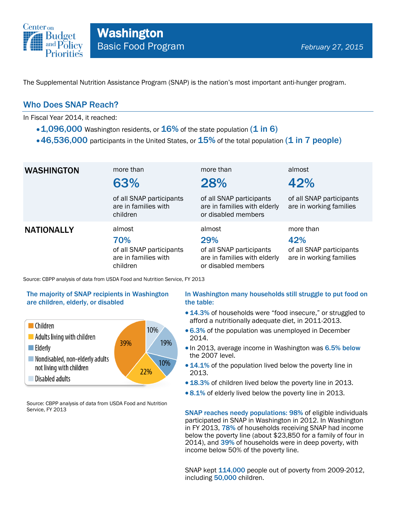

The Supplemental Nutrition Assistance Program (SNAP) is the nation's most important anti-hunger program.

## Who Does SNAP Reach?

In Fiscal Year 2014, it reached:

- $\cdot$  1,096,000 Washington residents, or  $16\%$  of the state population (1 in 6)
- $\cdot$  46,536,000 participants in the United States, or  $15\%$  of the total population (1 in 7 people)

| <b>WASHINGTON</b> | more than<br>63%<br>of all SNAP participants<br>are in families with<br>children | more than<br>28%<br>of all SNAP participants<br>are in families with elderly<br>or disabled members | almost<br>42%<br>of all SNAP participants<br>are in working families    |
|-------------------|----------------------------------------------------------------------------------|-----------------------------------------------------------------------------------------------------|-------------------------------------------------------------------------|
| <b>NATIONALLY</b> | almost<br>70%<br>of all SNAP participants<br>are in families with<br>children    | almost<br>29%<br>of all SNAP participants<br>are in families with elderly<br>or disabled members    | more than<br>42%<br>of all SNAP participants<br>are in working families |

Source: CBPP analysis of data from USDA Food and Nutrition Service, FY 2013

### The majority of SNAP recipients in Washington are children, elderly, or disabled



Source: CBPP analysis of data from USDA Food and Nutrition Service, FY 2013

### In Washington many households still struggle to put food on the table:

- 14.3% of households were "food insecure," or struggled to afford a nutritionally adequate diet, in 2011-2013.
- 6.3% of the population was unemployed in December 2014.
- In 2013, average income in Washington was 6.5% below the 2007 level.
- 14.1% of the population lived below the poverty line in 2013.
- 18.3% of children lived below the poverty line in 2013.
- 8.1% of elderly lived below the poverty line in 2013.

SNAP reaches needy populations: 98% of eligible individuals participated in SNAP in Washington in 2012. In Washington in FY 2013, 78% of households receiving SNAP had income below the poverty line (about \$23,850 for a family of four in 2014), and 39% of households were in deep poverty, with income below 50% of the poverty line.

SNAP kept 114,000 people out of poverty from 2009-2012, including 50,000 children.